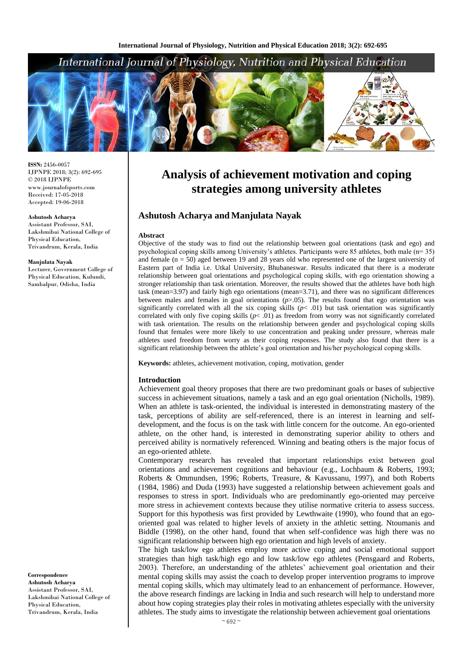# International Journal of Physiology, Nutrition and Physical Education



**ISSN:** 2456-0057 IJPNPE 2018; 3(2): 692-695  $\odot$  2018 IJPNPE www.journalofsports.com Received: 17-05-2018 Accepted: 19-06-2018

#### **Ashutosh Acharya** Assistant Professor, SAI, Lakshmibai National College of Physical Education, Trivandrum, Kerala, India

**Manjulata Nayak**

Lecturer, Government College of Physical Education, Kulundi, Sambalpur, Odisha, India

#### **Correspondence Ashutosh Acharya** Assistant Professor, SAI, Lakshmibai National College of Physical Education, Trivandrum, Kerala, India

# **Analysis of achievement motivation and coping strategies among university athletes**

# **Ashutosh Acharya and Manjulata Nayak**

### **Abstract**

Objective of the study was to find out the relationship between goal orientations (task and ego) and psychological coping skills among University's athletes. Participants were 85 athletes, both male (n= 35) and female  $(n = 50)$  aged between 19 and 28 years old who represented one of the largest university of Eastern part of India i.e. Utkal University, Bhubaneswar. Results indicated that there is a moderate relationship between goal orientations and psychological coping skills, with ego orientation showing a stronger relationship than task orientation. Moreover, the results showed that the athletes have both high task (mean=3.97) and fairly high ego orientations (mean=3.71), and there was no significant differences between males and females in goal orientations (*p*>.05). The results found that ego orientation was significantly correlated with all the six coping skills  $(p< .01)$  but task orientation was significantly correlated with only five coping skills  $(p< .01)$  as freedom from worry was not significantly correlated with task orientation. The results on the relationship between gender and psychological coping skills found that females were more likely to use concentration and peaking under pressure, whereas male athletes used freedom from worry as their coping responses. The study also found that there is a significant relationship between the athlete's goal orientation and his/her psychological coping skills.

**Keywords:** athletes, achievement motivation, coping, motivation, gender

## **Introduction**

Achievement goal theory proposes that there are two predominant goals or bases of subjective success in achievement situations, namely a task and an ego goal orientation (Nicholls, 1989). When an athlete is task-oriented, the individual is interested in demonstrating mastery of the task, perceptions of ability are self-referenced, there is an interest in learning and selfdevelopment, and the focus is on the task with little concern for the outcome. An ego-oriented athlete, on the other hand, is interested in demonstrating superior ability to others and perceived ability is normatively referenced. Winning and beating others is the major focus of an ego-oriented athlete.

Contemporary research has revealed that important relationships exist between goal orientations and achievement cognitions and behaviour (e.g., Lochbaum & Roberts, 1993; Roberts & Ommundsen, 1996; Roberts, Treasure, & Kavussanu, 1997), and both Roberts (1984, 1986) and Duda (1993) have suggested a relationship between achievement goals and responses to stress in sport. Individuals who are predominantly ego-oriented may perceive more stress in achievement contexts because they utilise normative criteria to assess success. Support for this hypothesis was first provided by Lewthwaite (1990), who found that an egooriented goal was related to higher levels of anxiety in the athletic setting. Ntoumanis and Biddle (1998), on the other hand, found that when self-confidence was high there was no significant relationship between high ego orientation and high levels of anxiety.

The high task/low ego athletes employ more active coping and social emotional support strategies than high task/high ego and low task/low ego athletes (Pensgaard and Roberts, 2003). Therefore, an understanding of the athletes' achievement goal orientation and their mental coping skills may assist the coach to develop proper intervention programs to improve mental coping skills, which may ultimately lead to an enhancement of performance. However, the above research findings are lacking in India and such research will help to understand more about how coping strategies play their roles in motivating athletes especially with the university athletes. The study aims to investigate the relationship between achievement goal orientations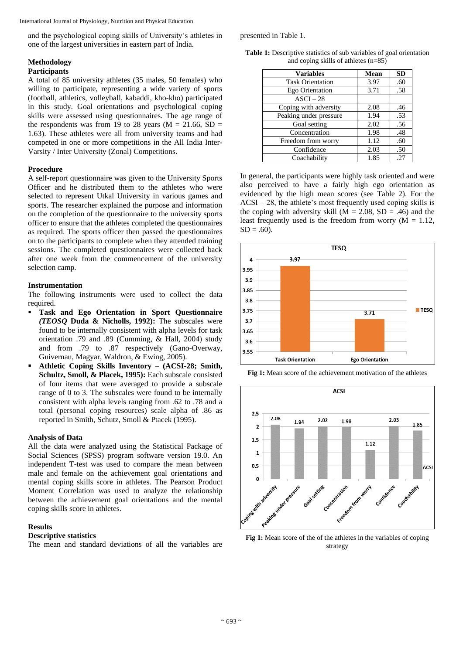International Journal of Physiology, Nutrition and Physical Education

and the psychological coping skills of University's athletes in one of the largest universities in eastern part of India.

# **Methodology**

# **Participants**

A total of 85 university athletes (35 males, 50 females) who willing to participate, representing a wide variety of sports (football, athletics, volleyball, kabaddi, kho-kho) participated in this study. Goal orientations and psychological coping skills were assessed using questionnaires. The age range of the respondents was from 19 to 28 years ( $M = 21.66$ , SD = 1.63). These athletes were all from university teams and had competed in one or more competitions in the All India Inter-Varsity / Inter University (Zonal) Competitions.

# **Procedure**

A self-report questionnaire was given to the University Sports Officer and he distributed them to the athletes who were selected to represent Utkal University in various games and sports. The researcher explained the purpose and information on the completion of the questionnaire to the university sports officer to ensure that the athletes completed the questionnaires as required. The sports officer then passed the questionnaires on to the participants to complete when they attended training sessions. The completed questionnaires were collected back after one week from the commencement of the university selection camp.

# **Instrumentation**

The following instruments were used to collect the data required.

- **Task and Ego Orientation in Sport Questionnaire** *(TEOSQ* **Duda & Nicholls, 1992):** The subscales were found to be internally consistent with alpha levels for task orientation .79 and .89 (Cumming, & Hall, 2004) study and from .79 to .87 respectively (Gano-Overway, Guivernau, Magyar, Waldron, & Ewing, 2005).
- **Athletic Coping Skills Inventory** *–* **(ACSI-28; Smith, Schultz, Smoll, & Placek, 1995):** Each subscale consisted of four items that were averaged to provide a subscale range of 0 to 3. The subscales were found to be internally consistent with alpha levels ranging from .62 to .78 and a total (personal coping resources) scale alpha of .86 as reported in Smith, Schutz, Smoll & Ptacek (1995).

# **Analysis of Data**

All the data were analyzed using the Statistical Package of Social Sciences (SPSS) program software version 19.0. An independent T-test was used to compare the mean between male and female on the achievement goal orientations and mental coping skills score in athletes. The Pearson Product Moment Correlation was used to analyze the relationship between the achievement goal orientations and the mental coping skills score in athletes.

# **Results**

# **Descriptive statistics**

The mean and standard deviations of all the variables are

presented in Table 1.

**Table 1:** Descriptive statistics of sub variables of goal orientation and coping skills of athletes (n=85)

| <b>Variables</b>        | Mean | <b>SD</b> |
|-------------------------|------|-----------|
| <b>Task Orientation</b> | 3.97 | .60       |
| Ego Orientation         | 3.71 | .58       |
| ASCI – 28               |      |           |
| Coping with adversity   | 2.08 | .46       |
| Peaking under pressure  | 1.94 | .53       |
| Goal setting            | 2.02 | .56       |
| Concentration           | 1.98 | .48       |
| Freedom from worry      | 1.12 | .60       |
| Confidence              | 2.03 | .50       |
| Coachability            | 1.85 | .27       |

In general, the participants were highly task oriented and were also perceived to have a fairly high ego orientation as evidenced by the high mean scores (see Table 2). For the  $ACSI - 28$ , the athlete's most frequently used coping skills is the coping with adversity skill ( $M = 2.08$ , SD = .46) and the least frequently used is the freedom from worry  $(M = 1.12)$ ,  $SD = .60$ ).







Fig 1: Mean score of the of the athletes in the variables of coping strategy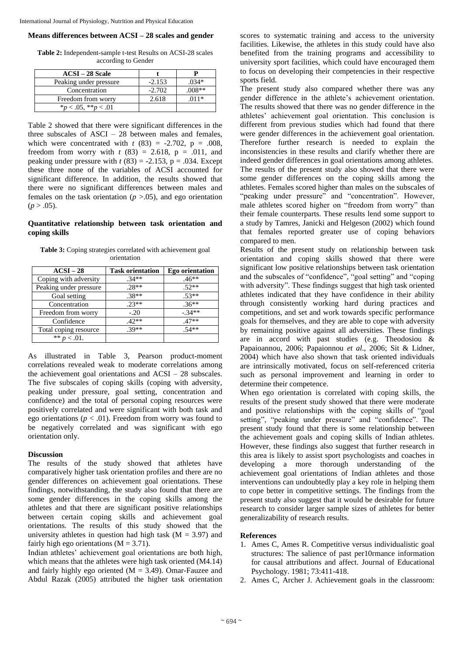## **Means differences between ACSI – 28 scales and gender**

**Table 2:** Independent-sample t-test Results on ACSI-28 scales according to Gender

| <b>ACSI – 28 Scale</b>   |          |          |
|--------------------------|----------|----------|
| Peaking under pressure   | $-2.153$ | .034*    |
| Concentration            | $-2.702$ | $.008**$ |
| Freedom from worry       | 2.618    | $.011*$  |
| $*_p$ < .05, $*_p$ < .01 |          |          |

Table 2 showed that there were significant differences in the three subscales of ASCI – 28 between males and females, which were concentrated with  $t$  (83) = -2.702, p = .008, freedom from worry with  $t$  (83) = 2.618, p = .011, and peaking under pressure with  $t(83) = -2.153$ ,  $p = .034$ . Except these three none of the variables of ACSI accounted for significant difference. In addition, the results showed that there were no significant differences between males and females on the task orientation  $(p > .05)$ , and ego orientation  $(p > .05)$ .

## **Quantitative relationship between task orientation and coping skills**

**Table 3:** Coping strategies correlated with achievement goal orientation

| $ACSI-28$              | <b>Task orientation</b> | <b>Ego orientation</b> |
|------------------------|-------------------------|------------------------|
| Coping with adversity  | $.34**$                 | $.46**$                |
| Peaking under pressure | $.28**$                 | $.52**$                |
| Goal setting           | $.38**$                 | $.53**$                |
| Concentration          | $.23**$                 | $.36**$                |
| Freedom from worry     | $-.20$                  | $-34**$                |
| Confidence             | $.42**$                 | $.47**$                |
| Total coping resource  | $.39**$                 | $.54**$                |
| ** $p < .01$ .         |                         |                        |

As illustrated in Table 3, Pearson product-moment correlations revealed weak to moderate correlations among the achievement goal orientations and ACSI – 28 subscales. The five subscales of coping skills (coping with adversity, peaking under pressure, goal setting, concentration and confidence) and the total of personal coping resources were positively correlated and were significant with both task and ego orientations ( $p < .01$ ). Freedom from worry was found to be negatively correlated and was significant with ego orientation only.

### **Discussion**

The results of the study showed that athletes have comparatively higher task orientation profiles and there are no gender differences on achievement goal orientations. These findings, notwithstanding, the study also found that there are some gender differences in the coping skills among the athletes and that there are significant positive relationships between certain coping skills and achievement goal orientations. The results of this study showed that the university athletes in question had high task ( $M = 3.97$ ) and fairly high ego orientations ( $M = 3.71$ ).

Indian athletes' achievement goal orientations are both high, which means that the athletes were high task oriented (M4.14) and fairly highly ego oriented  $(M = 3.49)$ . Omar-Fauzee and Abdul Razak (2005) attributed the higher task orientation scores to systematic training and access to the university facilities. Likewise, the athletes in this study could have also benefited from the training programs and accessibility to university sport facilities, which could have encouraged them to focus on developing their competencies in their respective sports field.

The present study also compared whether there was any gender difference in the athlete's achievement orientation. The results showed that there was no gender difference in the athletes' achievement goal orientation. This conclusion is different from previous studies which had found that there were gender differences in the achievement goal orientation. Therefore further research is needed to explain the inconsistencies in these results and clarify whether there are indeed gender differences in goal orientations among athletes. The results of the present study also showed that there were some gender differences on the coping skills among the athletes. Females scored higher than males on the subscales of "peaking under pressure" and "concentration". However, male athletes scored higher on "freedom from worry" than their female counterparts. These results lend some support to a study by Tamres, Janicki and Helgeson (2002) which found that females reported greater use of coping behaviors compared to men.

Results of the present study on relationship between task orientation and coping skills showed that there were significant low positive relationships between task orientation and the subscales of "confidence", "goal setting" and "coping with adversity". These findings suggest that high task oriented athletes indicated that they have confidence in their ability through consistently working hard during practices and competitions, and set and work towards specific performance goals for themselves, and they are able to cope with adversity by remaining positive against all adversities. These findings are in accord with past studies (e.g. Theodosiou & Papaioannou, 2006; Papaionnou *et al*., 2006; Sit & Lidner, 2004) which have also shown that task oriented individuals are intrinsically motivated, focus on self-referenced criteria such as personal improvement and learning in order to determine their competence.

When ego orientation is correlated with coping skills, the results of the present study showed that there were moderate and positive relationships with the coping skills of "goal setting", "peaking under pressure" and "confidence". The present study found that there is some relationship between the achievement goals and coping skills of Indian athletes. However, these findings also suggest that further research in this area is likely to assist sport psychologists and coaches in developing a more thorough understanding of the achievement goal orientations of Indian athletes and those interventions can undoubtedly play a key role in helping them to cope better in competitive settings. The findings from the present study also suggest that it would be desirable for future research to consider larger sample sizes of athletes for better generalizability of research results.

### **References**

- 1. Ames C, Ames R. Competitive versus individualistic goal structures: The salience of past per10rmance information for causal attributions and affect. Journal of Educational Psychology. 1981; 73:411-418.
- 2. Ames C, Archer J. Achievement goals in the classroom: